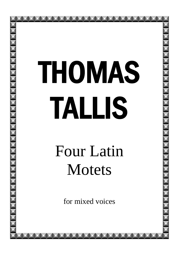# THOMAS TALLIS

# Four Latin **Motets**

**ENABLEMENT BERKEN BERKEN BERKEN BERKEN** 

for mixed voices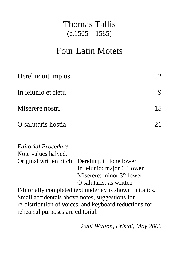### Thomas Tallis  $(c.1505 - 1585)$

## Four Latin Motets

| Derelinquit impius  |    |
|---------------------|----|
| In ieiunio et fletu |    |
| Miserere nostri     | 15 |
| O salutaris hostia  | 21 |

*Editorial Procedure* Note values halved. Original written pitch: Derelinquit: tone lower In ieiunio: major  $6<sup>th</sup>$  lower Miserere: minor 3<sup>rd</sup> lower O salutaris: as written Editorially completed text underlay is shown in italics. Small accidentals above notes, suggestions for

re-distribution of voices, and keyboard reductions for rehearsal purposes are editorial.

*Paul Walton, Bristol, May 2006*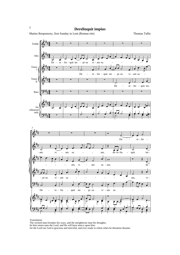Matins Responsory, first Sunday in Lent (Roman rite) Thomas Tallis



*Translation*:

The wicked man forsakes his ways, and the unrighteous man his thoughts; let him return unto the Lord, and He will have mercy upon him:

for the Lord our God is gracious and merciful, and ever ready to relent when he threatens disaster.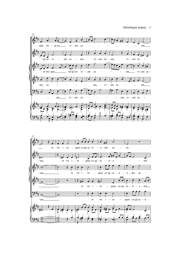

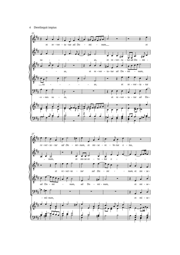

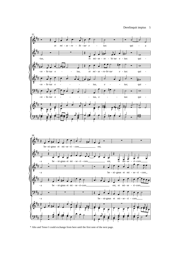



\* Alto and Tenor I could exchange from here until the first note of the next page.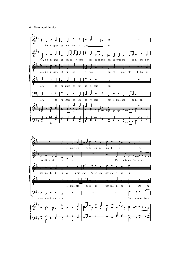

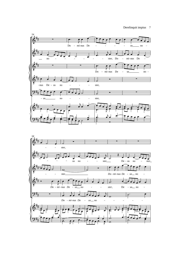

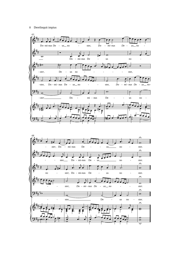

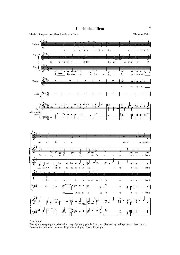



#### *Translation*:

Fasting and weeping, the priests shall pray. Spare thy people, Lord, and give not thy heritage over to destruction. Between the porch and the altar, the priests shall pray. Spare thy people.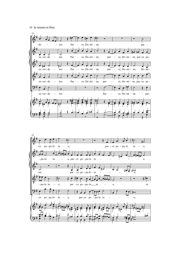

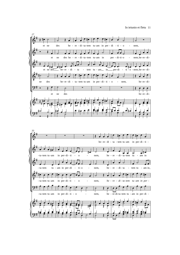

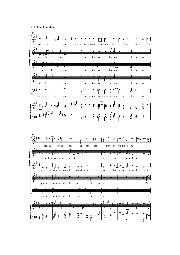

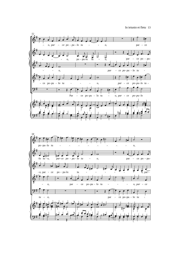In ieiunio et fletu 13



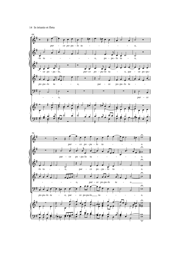14 In ieiunio et fletu



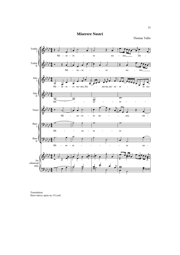**Miserere Nostri**

Thomas Tallis



*Translation*: Have mercy upon us, O Lord.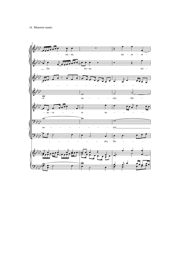#### 16 Miserere nostri

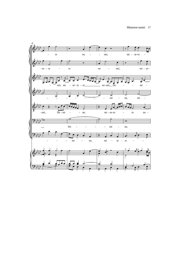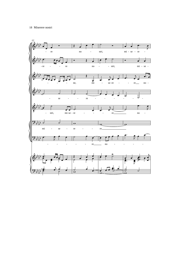#### 18 Miserere nostri

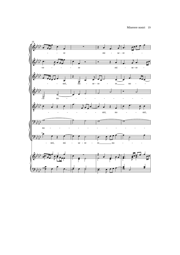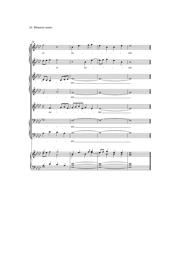#### 20 Miserere nostri

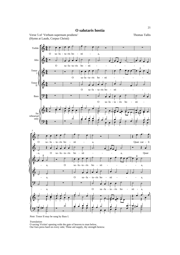Verse 5 of 'Verbum supernum prodiens' (Hymn at Lauds, Corpus Christi)





*Note*: Tenor II may be sung by Bass I.

*Translation*:

O saving Victim! opening wide the gate of heaven to man below,

Our foes press hard on every side; Thine aid supply, thy strength bestow.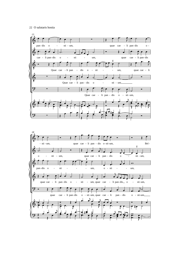O salutaris hostia 22



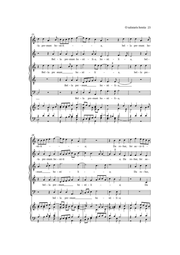O salutaris hostia 23



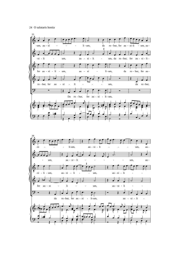O salutaris hostia 24